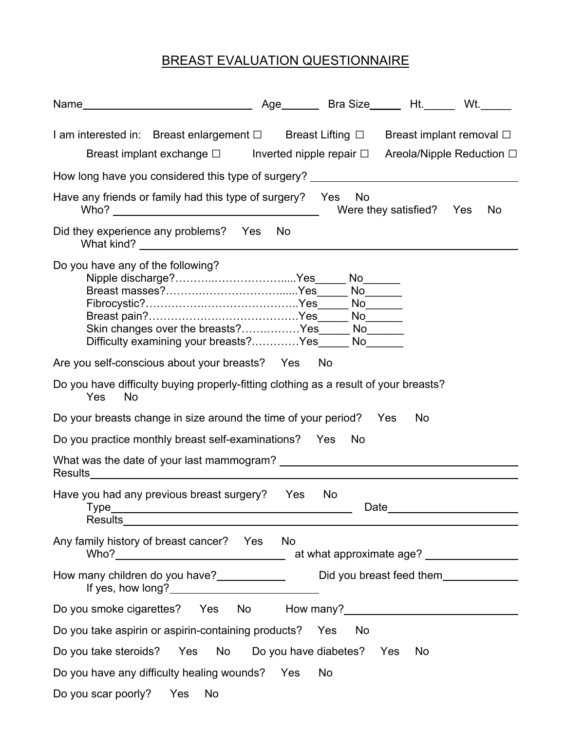## BREAST EVALUATION QUESTIONNAIRE

| Name                                                                                                                                                                                                                                                                        |           | Age Bra Size Ht. Wt. |                          |     |
|-----------------------------------------------------------------------------------------------------------------------------------------------------------------------------------------------------------------------------------------------------------------------------|-----------|----------------------|--------------------------|-----|
| I am interested in: Breast enlargement $\square$ Breast Lifting $\square$ Breast implant removal $\square$<br>Breast implant exchange □ Inverted nipple repair □ Areola/Nipple Reduction □                                                                                  |           |                      |                          |     |
| How long have you considered this type of surgery?                                                                                                                                                                                                                          |           |                      |                          |     |
| Have any friends or family had this type of surgery? Yes                                                                                                                                                                                                                    |           | <b>No</b>            | Were they satisfied? Yes | No. |
| Did they experience any problems? Yes                                                                                                                                                                                                                                       | <b>No</b> |                      |                          |     |
| Do you have any of the following?<br>Skin changes over the breasts?Yes<br>Difficulty examining your breasts?Yes                                                                                                                                                             |           |                      |                          |     |
| Are you self-conscious about your breasts? Yes                                                                                                                                                                                                                              |           | No                   |                          |     |
| Do you have difficulty buying properly-fitting clothing as a result of your breasts?<br>Yes<br><b>No</b>                                                                                                                                                                    |           |                      |                          |     |
| Do your breasts change in size around the time of your period? Yes                                                                                                                                                                                                          |           |                      | <b>No</b>                |     |
| Do you practice monthly breast self-examinations? Yes                                                                                                                                                                                                                       |           | No.                  |                          |     |
| What was the date of your last mammogram?<br>Results and the second second second second second second second second second second second second second second second second second second second second second second second second second second second second second sec |           |                      |                          |     |
| Have you had any previous breast surgery?<br>Type<br><u> 1989 - Jan Barnett, fransk politik (d. 1989)</u><br>Results <b>Executes Results</b>                                                                                                                                | Yes       | <b>No</b>            | Date_                    |     |
| Any family history of breast cancer? Yes No                                                                                                                                                                                                                                 |           |                      |                          |     |
| How many children do you have?______________________Did you breast feed them________________________                                                                                                                                                                        |           |                      |                          |     |
| Do you smoke cigarettes? Yes No How many?<br>Monton Many?<br>Monton Many?<br>Monton Many?                                                                                                                                                                                   |           |                      |                          |     |
| Do you take aspirin or aspirin-containing products? Yes No                                                                                                                                                                                                                  |           |                      |                          |     |
| Do you take steroids? Yes No Do you have diabetes? Yes                                                                                                                                                                                                                      |           |                      | <b>No</b>                |     |
| Do you have any difficulty healing wounds? Yes                                                                                                                                                                                                                              |           | <b>No</b>            |                          |     |
| Do you scar poorly? Yes No                                                                                                                                                                                                                                                  |           |                      |                          |     |